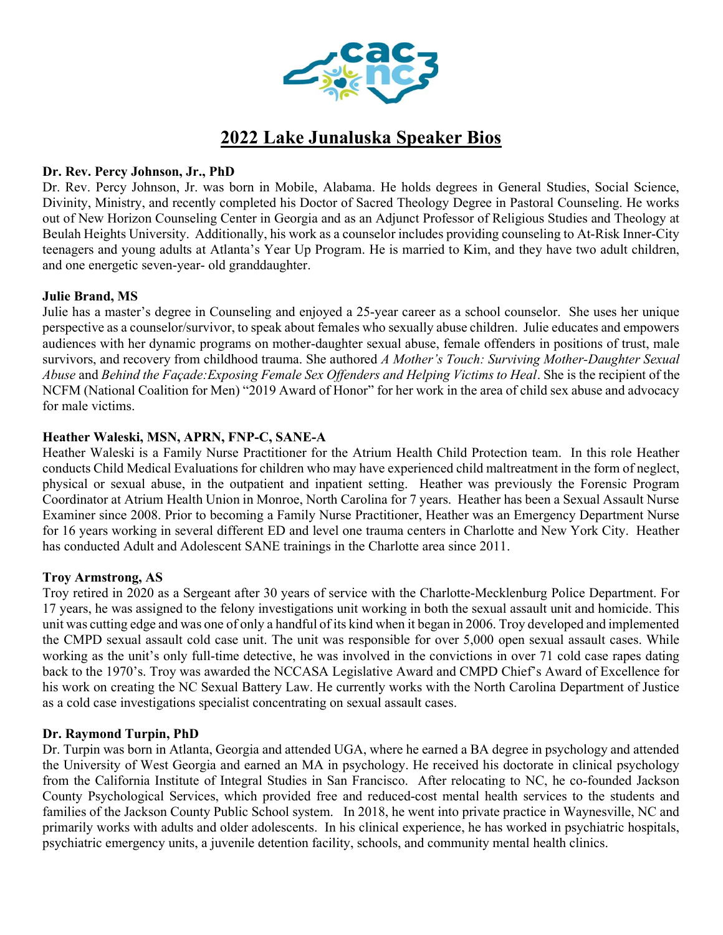

# 2022 Lake Junaluska Speaker Bios

# Dr. Rev. Percy Johnson, Jr., PhD

Dr. Rev. Percy Johnson, Jr. was born in Mobile, Alabama. He holds degrees in General Studies, Social Science, Divinity, Ministry, and recently completed his Doctor of Sacred Theology Degree in Pastoral Counseling. He works out of New Horizon Counseling Center in Georgia and as an Adjunct Professor of Religious Studies and Theology at Beulah Heights University. Additionally, his work as a counselor includes providing counseling to At-Risk Inner-City teenagers and young adults at Atlanta's Year Up Program. He is married to Kim, and they have two adult children, and one energetic seven-year- old granddaughter.

# Julie Brand, MS

Julie has a master's degree in Counseling and enjoyed a 25-year career as a school counselor. She uses her unique perspective as a counselor/survivor, to speak about females who sexually abuse children. Julie educates and empowers audiences with her dynamic programs on mother-daughter sexual abuse, female offenders in positions of trust, male survivors, and recovery from childhood trauma. She authored A Mother's Touch: Surviving Mother-Daughter Sexual Abuse and Behind the Façade: Exposing Female Sex Offenders and Helping Victims to Heal. She is the recipient of the NCFM (National Coalition for Men) "2019 Award of Honor" for her work in the area of child sex abuse and advocacy for male victims.

# Heather Waleski, MSN, APRN, FNP-C, SANE-A

Heather Waleski is a Family Nurse Practitioner for the Atrium Health Child Protection team. In this role Heather conducts Child Medical Evaluations for children who may have experienced child maltreatment in the form of neglect, physical or sexual abuse, in the outpatient and inpatient setting. Heather was previously the Forensic Program Coordinator at Atrium Health Union in Monroe, North Carolina for 7 years. Heather has been a Sexual Assault Nurse Examiner since 2008. Prior to becoming a Family Nurse Practitioner, Heather was an Emergency Department Nurse for 16 years working in several different ED and level one trauma centers in Charlotte and New York City. Heather has conducted Adult and Adolescent SANE trainings in the Charlotte area since 2011.

# Troy Armstrong, AS

Troy retired in 2020 as a Sergeant after 30 years of service with the Charlotte-Mecklenburg Police Department. For 17 years, he was assigned to the felony investigations unit working in both the sexual assault unit and homicide. This unit was cutting edge and was one of only a handful of its kind when it began in 2006. Troy developed and implemented the CMPD sexual assault cold case unit. The unit was responsible for over 5,000 open sexual assault cases. While working as the unit's only full-time detective, he was involved in the convictions in over 71 cold case rapes dating back to the 1970's. Troy was awarded the NCCASA Legislative Award and CMPD Chief's Award of Excellence for his work on creating the NC Sexual Battery Law. He currently works with the North Carolina Department of Justice as a cold case investigations specialist concentrating on sexual assault cases.

# Dr. Raymond Turpin, PhD

Dr. Turpin was born in Atlanta, Georgia and attended UGA, where he earned a BA degree in psychology and attended the University of West Georgia and earned an MA in psychology. He received his doctorate in clinical psychology from the California Institute of Integral Studies in San Francisco. After relocating to NC, he co-founded Jackson County Psychological Services, which provided free and reduced-cost mental health services to the students and families of the Jackson County Public School system. In 2018, he went into private practice in Waynesville, NC and primarily works with adults and older adolescents. In his clinical experience, he has worked in psychiatric hospitals, psychiatric emergency units, a juvenile detention facility, schools, and community mental health clinics.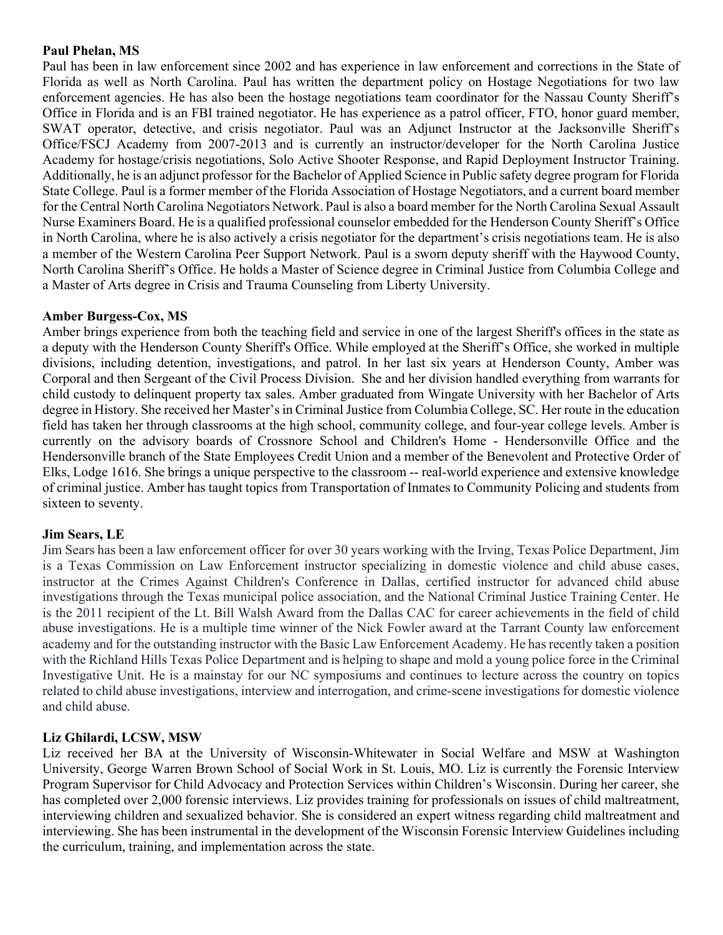### Paul Phelan, MS

Paul has been in law enforcement since 2002 and has experience in law enforcement and corrections in the State of Florida as well as North Carolina. Paul has written the department policy on Hostage Negotiations for two law enforcement agencies. He has also been the hostage negotiations team coordinator for the Nassau County Sheriff's Office in Florida and is an FBI trained negotiator. He has experience as a patrol officer, FTO, honor guard member, SWAT operator, detective, and crisis negotiator. Paul was an Adjunct Instructor at the Jacksonville Sheriff's Office/FSCJ Academy from 2007-2013 and is currently an instructor/developer for the North Carolina Justice Academy for hostage/crisis negotiations, Solo Active Shooter Response, and Rapid Deployment Instructor Training. Additionally, he is an adjunct professor for the Bachelor of Applied Science in Public safety degree program for Florida State College. Paul is a former member of the Florida Association of Hostage Negotiators, and a current board member for the Central North Carolina Negotiators Network. Paul is also a board member for the North Carolina Sexual Assault Nurse Examiners Board. He is a qualified professional counselor embedded for the Henderson County Sheriff's Office in North Carolina, where he is also actively a crisis negotiator for the department's crisis negotiations team. He is also a member of the Western Carolina Peer Support Network. Paul is a sworn deputy sheriff with the Haywood County, North Carolina Sheriff's Office. He holds a Master of Science degree in Criminal Justice from Columbia College and a Master of Arts degree in Crisis and Trauma Counseling from Liberty University.

#### Amber Burgess-Cox, MS

Amber brings experience from both the teaching field and service in one of the largest Sheriff's offices in the state as a deputy with the Henderson County Sheriff's Office. While employed at the Sheriff's Office, she worked in multiple divisions, including detention, investigations, and patrol. In her last six years at Henderson County, Amber was Corporal and then Sergeant of the Civil Process Division. She and her division handled everything from warrants for child custody to delinquent property tax sales. Amber graduated from Wingate University with her Bachelor of Arts degree in History. She received her Master's in Criminal Justice from Columbia College, SC. Her route in the education field has taken her through classrooms at the high school, community college, and four-year college levels. Amber is currently on the advisory boards of Crossnore School and Children's Home - Hendersonville Office and the Hendersonville branch of the State Employees Credit Union and a member of the Benevolent and Protective Order of Elks, Lodge 1616. She brings a unique perspective to the classroom -- real-world experience and extensive knowledge of criminal justice. Amber has taught topics from Transportation of Inmates to Community Policing and students from sixteen to seventy.

# Jim Sears, LE

Jim Sears has been a law enforcement officer for over 30 years working with the Irving, Texas Police Department, Jim is a Texas Commission on Law Enforcement instructor specializing in domestic violence and child abuse cases, instructor at the Crimes Against Children's Conference in Dallas, certified instructor for advanced child abuse investigations through the Texas municipal police association, and the National Criminal Justice Training Center. He is the 2011 recipient of the Lt. Bill Walsh Award from the Dallas CAC for career achievements in the field of child abuse investigations. He is a multiple time winner of the Nick Fowler award at the Tarrant County law enforcement academy and for the outstanding instructor with the Basic Law Enforcement Academy. He has recently taken a position with the Richland Hills Texas Police Department and is helping to shape and mold a young police force in the Criminal Investigative Unit. He is a mainstay for our NC symposiums and continues to lecture across the country on topics related to child abuse investigations, interview and interrogation, and crime-scene investigations for domestic violence and child abuse.

#### Liz Ghilardi, LCSW, MSW

Liz received her BA at the University of Wisconsin-Whitewater in Social Welfare and MSW at Washington University, George Warren Brown School of Social Work in St. Louis, MO. Liz is currently the Forensic Interview Program Supervisor for Child Advocacy and Protection Services within Children's Wisconsin. During her career, she has completed over 2,000 forensic interviews. Liz provides training for professionals on issues of child maltreatment, interviewing children and sexualized behavior. She is considered an expert witness regarding child maltreatment and interviewing. She has been instrumental in the development of the Wisconsin Forensic Interview Guidelines including the curriculum, training, and implementation across the state.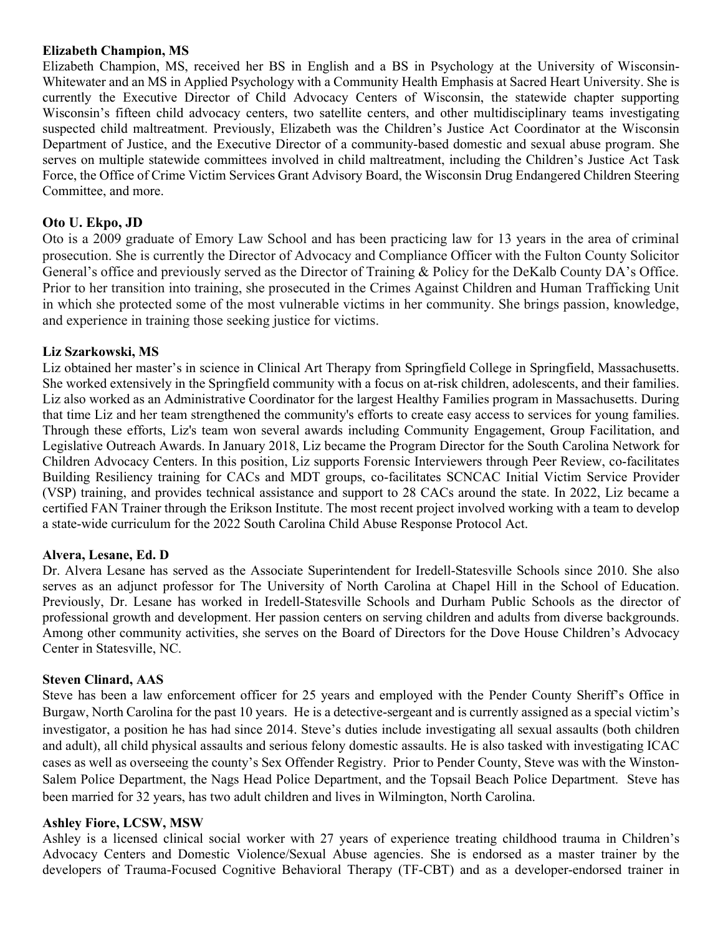#### Elizabeth Champion, MS

Elizabeth Champion, MS, received her BS in English and a BS in Psychology at the University of Wisconsin-Whitewater and an MS in Applied Psychology with a Community Health Emphasis at Sacred Heart University. She is currently the Executive Director of Child Advocacy Centers of Wisconsin, the statewide chapter supporting Wisconsin's fifteen child advocacy centers, two satellite centers, and other multidisciplinary teams investigating suspected child maltreatment. Previously, Elizabeth was the Children's Justice Act Coordinator at the Wisconsin Department of Justice, and the Executive Director of a community-based domestic and sexual abuse program. She serves on multiple statewide committees involved in child maltreatment, including the Children's Justice Act Task Force, the Office of Crime Victim Services Grant Advisory Board, the Wisconsin Drug Endangered Children Steering Committee, and more.

# Oto U. Ekpo, JD

Oto is a 2009 graduate of Emory Law School and has been practicing law for 13 years in the area of criminal prosecution. She is currently the Director of Advocacy and Compliance Officer with the Fulton County Solicitor General's office and previously served as the Director of Training & Policy for the DeKalb County DA's Office. Prior to her transition into training, she prosecuted in the Crimes Against Children and Human Trafficking Unit in which she protected some of the most vulnerable victims in her community. She brings passion, knowledge, and experience in training those seeking justice for victims.

# Liz Szarkowski, MS

Liz obtained her master's in science in Clinical Art Therapy from Springfield College in Springfield, Massachusetts. She worked extensively in the Springfield community with a focus on at-risk children, adolescents, and their families. Liz also worked as an Administrative Coordinator for the largest Healthy Families program in Massachusetts. During that time Liz and her team strengthened the community's efforts to create easy access to services for young families. Through these efforts, Liz's team won several awards including Community Engagement, Group Facilitation, and Legislative Outreach Awards. In January 2018, Liz became the Program Director for the South Carolina Network for Children Advocacy Centers. In this position, Liz supports Forensic Interviewers through Peer Review, co-facilitates Building Resiliency training for CACs and MDT groups, co-facilitates SCNCAC Initial Victim Service Provider (VSP) training, and provides technical assistance and support to 28 CACs around the state. In 2022, Liz became a certified FAN Trainer through the Erikson Institute. The most recent project involved working with a team to develop a state-wide curriculum for the 2022 South Carolina Child Abuse Response Protocol Act.

# Alvera, Lesane, Ed. D

Dr. Alvera Lesane has served as the Associate Superintendent for Iredell-Statesville Schools since 2010. She also serves as an adjunct professor for The University of North Carolina at Chapel Hill in the School of Education. Previously, Dr. Lesane has worked in Iredell-Statesville Schools and Durham Public Schools as the director of professional growth and development. Her passion centers on serving children and adults from diverse backgrounds. Among other community activities, she serves on the Board of Directors for the Dove House Children's Advocacy Center in Statesville, NC.

#### Steven Clinard, AAS

Steve has been a law enforcement officer for 25 years and employed with the Pender County Sheriff's Office in Burgaw, North Carolina for the past 10 years. He is a detective-sergeant and is currently assigned as a special victim's investigator, a position he has had since 2014. Steve's duties include investigating all sexual assaults (both children and adult), all child physical assaults and serious felony domestic assaults. He is also tasked with investigating ICAC cases as well as overseeing the county's Sex Offender Registry. Prior to Pender County, Steve was with the Winston-Salem Police Department, the Nags Head Police Department, and the Topsail Beach Police Department. Steve has been married for 32 years, has two adult children and lives in Wilmington, North Carolina.

#### Ashley Fiore, LCSW, MSW

Ashley is a licensed clinical social worker with 27 years of experience treating childhood trauma in Children's Advocacy Centers and Domestic Violence/Sexual Abuse agencies. She is endorsed as a master trainer by the developers of Trauma-Focused Cognitive Behavioral Therapy (TF-CBT) and as a developer-endorsed trainer in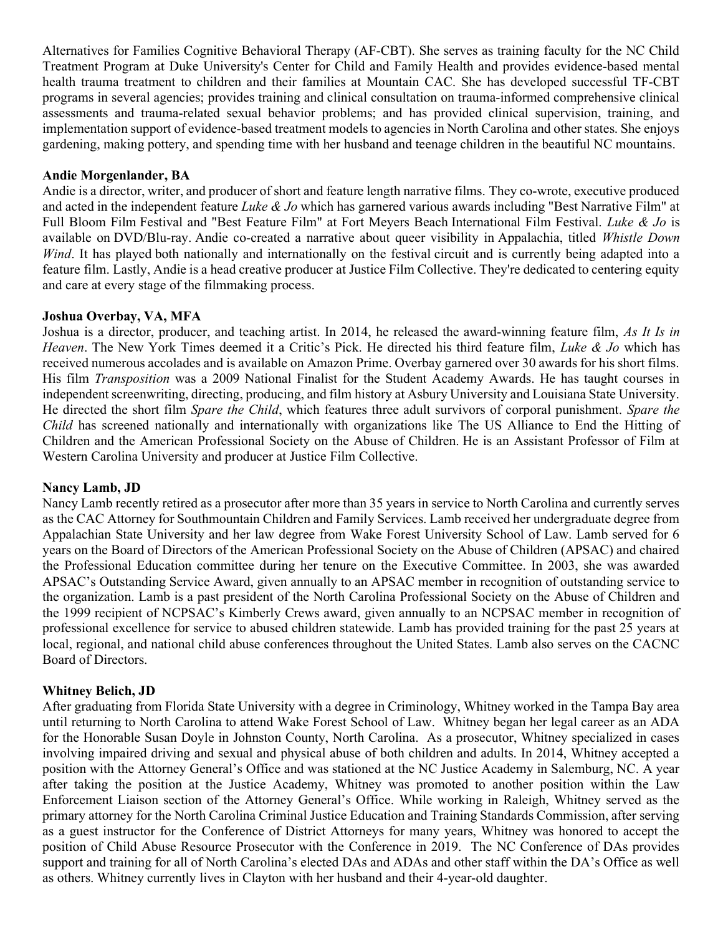Alternatives for Families Cognitive Behavioral Therapy (AF-CBT). She serves as training faculty for the NC Child Treatment Program at Duke University's Center for Child and Family Health and provides evidence-based mental health trauma treatment to children and their families at Mountain CAC. She has developed successful TF-CBT programs in several agencies; provides training and clinical consultation on trauma-informed comprehensive clinical assessments and trauma-related sexual behavior problems; and has provided clinical supervision, training, and implementation support of evidence-based treatment models to agencies in North Carolina and other states. She enjoys gardening, making pottery, and spending time with her husband and teenage children in the beautiful NC mountains.

### Andie Morgenlander, BA

Andie is a director, writer, and producer of short and feature length narrative films. They co-wrote, executive produced and acted in the independent feature Luke  $\&$  Jo which has garnered various awards including "Best Narrative Film" at Full Bloom Film Festival and "Best Feature Film" at Fort Meyers Beach International Film Festival. Luke & Jo is available on DVD/Blu-ray. Andie co-created a narrative about queer visibility in Appalachia, titled Whistle Down Wind. It has played both nationally and internationally on the festival circuit and is currently being adapted into a feature film. Lastly, Andie is a head creative producer at Justice Film Collective. They're dedicated to centering equity and care at every stage of the filmmaking process.

#### Joshua Overbay, VA, MFA

Joshua is a director, producer, and teaching artist. In 2014, he released the award-winning feature film, As It Is in Heaven. The New York Times deemed it a Critic's Pick. He directed his third feature film, Luke & Jo which has received numerous accolades and is available on Amazon Prime. Overbay garnered over 30 awards for his short films. His film Transposition was a 2009 National Finalist for the Student Academy Awards. He has taught courses in independent screenwriting, directing, producing, and film history at Asbury University and Louisiana State University. He directed the short film Spare the Child, which features three adult survivors of corporal punishment. Spare the Child has screened nationally and internationally with organizations like The US Alliance to End the Hitting of Children and the American Professional Society on the Abuse of Children. He is an Assistant Professor of Film at Western Carolina University and producer at Justice Film Collective.

#### Nancy Lamb, JD

Nancy Lamb recently retired as a prosecutor after more than 35 years in service to North Carolina and currently serves as the CAC Attorney for Southmountain Children and Family Services. Lamb received her undergraduate degree from Appalachian State University and her law degree from Wake Forest University School of Law. Lamb served for 6 years on the Board of Directors of the American Professional Society on the Abuse of Children (APSAC) and chaired the Professional Education committee during her tenure on the Executive Committee. In 2003, she was awarded APSAC's Outstanding Service Award, given annually to an APSAC member in recognition of outstanding service to the organization. Lamb is a past president of the North Carolina Professional Society on the Abuse of Children and the 1999 recipient of NCPSAC's Kimberly Crews award, given annually to an NCPSAC member in recognition of professional excellence for service to abused children statewide. Lamb has provided training for the past 25 years at local, regional, and national child abuse conferences throughout the United States. Lamb also serves on the CACNC Board of Directors.

# Whitney Belich, JD

After graduating from Florida State University with a degree in Criminology, Whitney worked in the Tampa Bay area until returning to North Carolina to attend Wake Forest School of Law. Whitney began her legal career as an ADA for the Honorable Susan Doyle in Johnston County, North Carolina. As a prosecutor, Whitney specialized in cases involving impaired driving and sexual and physical abuse of both children and adults. In 2014, Whitney accepted a position with the Attorney General's Office and was stationed at the NC Justice Academy in Salemburg, NC. A year after taking the position at the Justice Academy, Whitney was promoted to another position within the Law Enforcement Liaison section of the Attorney General's Office. While working in Raleigh, Whitney served as the primary attorney for the North Carolina Criminal Justice Education and Training Standards Commission, after serving as a guest instructor for the Conference of District Attorneys for many years, Whitney was honored to accept the position of Child Abuse Resource Prosecutor with the Conference in 2019. The NC Conference of DAs provides support and training for all of North Carolina's elected DAs and ADAs and other staff within the DA's Office as well as others. Whitney currently lives in Clayton with her husband and their 4-year-old daughter.